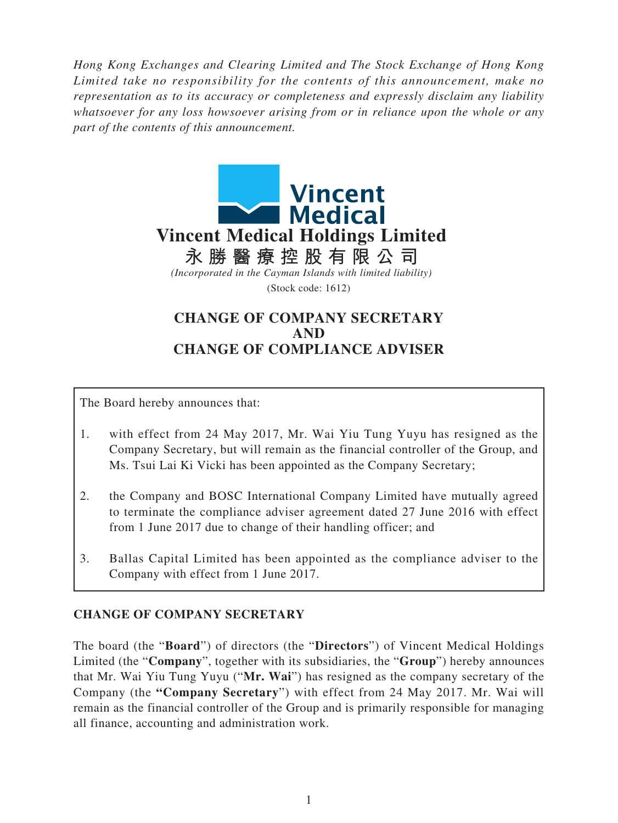*Hong Kong Exchanges and Clearing Limited and The Stock Exchange of Hong Kong Limited take no responsibility for the contents of this announcement, make no representation as to its accuracy or completeness and expressly disclaim any liability whatsoever for any loss howsoever arising from or in reliance upon the whole or any part of the contents of this announcement.* 



## **CHANGE OF COMPANY SECRETARY AND CHANGE OF COMPLIANCE ADVISER**

The Board hereby announces that:

- 1. with effect from 24 May 2017, Mr. Wai Yiu Tung Yuyu has resigned as the Company Secretary, but will remain as the financial controller of the Group, and Ms. Tsui Lai Ki Vicki has been appointed as the Company Secretary;
- 2. the Company and BOSC International Company Limited have mutually agreed to terminate the compliance adviser agreement dated 27 June 2016 with effect from 1 June 2017 due to change of their handling officer; and
- 3. Ballas Capital Limited has been appointed as the compliance adviser to the Company with effect from 1 June 2017.

## **CHANGE OF COMPANY SECRETARY**

The board (the "**Board**") of directors (the "**Directors**") of Vincent Medical Holdings Limited (the "**Company**", together with its subsidiaries, the "**Group**") hereby announces that Mr. Wai Yiu Tung Yuyu ("**Mr. Wai**") has resigned as the company secretary of the Company (the **"Company Secretary**") with effect from 24 May 2017. Mr. Wai will remain as the financial controller of the Group and is primarily responsible for managing all finance, accounting and administration work.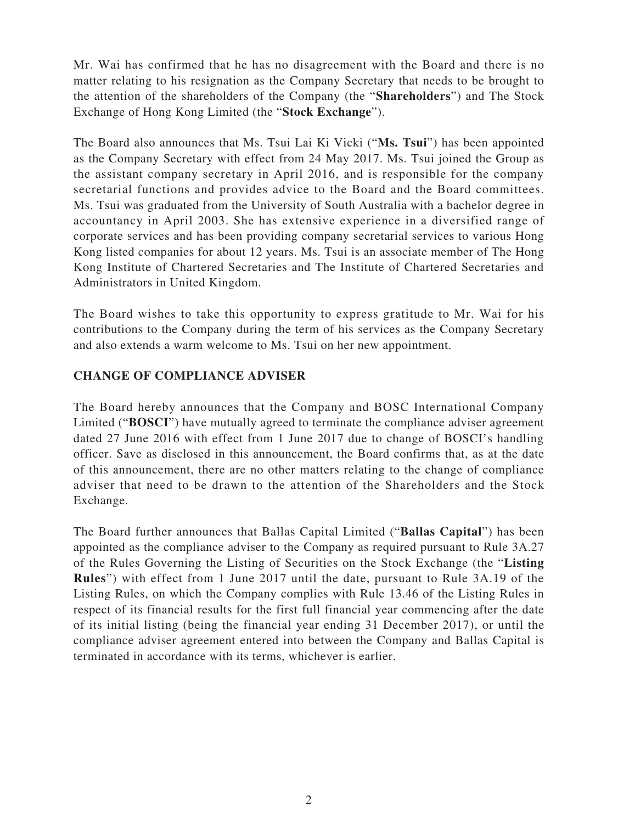Mr. Wai has confirmed that he has no disagreement with the Board and there is no matter relating to his resignation as the Company Secretary that needs to be brought to the attention of the shareholders of the Company (the "**Shareholders**") and The Stock Exchange of Hong Kong Limited (the "**Stock Exchange**").

The Board also announces that Ms. Tsui Lai Ki Vicki ("**Ms. Tsui**") has been appointed as the Company Secretary with effect from 24 May 2017. Ms. Tsui joined the Group as the assistant company secretary in April 2016, and is responsible for the company secretarial functions and provides advice to the Board and the Board committees. Ms. Tsui was graduated from the University of South Australia with a bachelor degree in accountancy in April 2003. She has extensive experience in a diversified range of corporate services and has been providing company secretarial services to various Hong Kong listed companies for about 12 years. Ms. Tsui is an associate member of The Hong Kong Institute of Chartered Secretaries and The Institute of Chartered Secretaries and Administrators in United Kingdom.

The Board wishes to take this opportunity to express gratitude to Mr. Wai for his contributions to the Company during the term of his services as the Company Secretary and also extends a warm welcome to Ms. Tsui on her new appointment.

## **CHANGE OF COMPLIANCE ADVISER**

The Board hereby announces that the Company and BOSC International Company Limited ("**BOSCI**") have mutually agreed to terminate the compliance adviser agreement dated 27 June 2016 with effect from 1 June 2017 due to change of BOSCI's handling officer. Save as disclosed in this announcement, the Board confirms that, as at the date of this announcement, there are no other matters relating to the change of compliance adviser that need to be drawn to the attention of the Shareholders and the Stock Exchange.

The Board further announces that Ballas Capital Limited ("**Ballas Capital**") has been appointed as the compliance adviser to the Company as required pursuant to Rule 3A.27 of the Rules Governing the Listing of Securities on the Stock Exchange (the "**Listing Rules**") with effect from 1 June 2017 until the date, pursuant to Rule 3A.19 of the Listing Rules, on which the Company complies with Rule 13.46 of the Listing Rules in respect of its financial results for the first full financial year commencing after the date of its initial listing (being the financial year ending 31 December 2017), or until the compliance adviser agreement entered into between the Company and Ballas Capital is terminated in accordance with its terms, whichever is earlier.